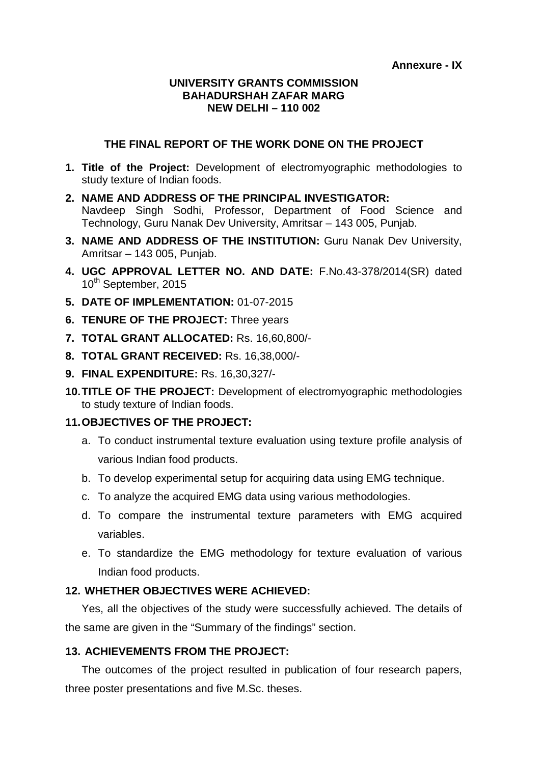#### **UNIVERSITY GRANTS COMMISSION BAHADURSHAH ZAFAR MARG NEW DELHI – 110 002**

#### **THE FINAL REPORT OF THE WORK DONE ON THE PROJECT**

- **1. Title of the Project:** Development of electromyographic methodologies to study texture of Indian foods.
- **2. NAME AND ADDRESS OF THE PRINCIPAL INVESTIGATOR:** Navdeep Singh Sodhi, Professor, Department of Food Science and Technology, Guru Nanak Dev University, Amritsar – 143 005, Punjab.
- **3. NAME AND ADDRESS OF THE INSTITUTION:** Guru Nanak Dev University, Amritsar – 143 005, Punjab.
- **4. UGC APPROVAL LETTER NO. AND DATE:** F.No.43-378/2014(SR) dated 10<sup>th</sup> September, 2015
- **5. DATE OF IMPLEMENTATION:** 01-07-2015
- **6. TENURE OF THE PROJECT:** Three years
- **7. TOTAL GRANT ALLOCATED:** Rs. 16,60,800/-
- **8. TOTAL GRANT RECEIVED:** Rs. 16,38,000/-
- **9. FINAL EXPENDITURE:** Rs. 16,30,327/-
- **10.TITLE OF THE PROJECT:** Development of electromyographic methodologies to study texture of Indian foods.

#### **11.OBJECTIVES OF THE PROJECT:**

- a. To conduct instrumental texture evaluation using texture profile analysis of various Indian food products.
- b. To develop experimental setup for acquiring data using EMG technique.
- c. To analyze the acquired EMG data using various methodologies.
- d. To compare the instrumental texture parameters with EMG acquired variables.
- e. To standardize the EMG methodology for texture evaluation of various Indian food products.

### **12. WHETHER OBJECTIVES WERE ACHIEVED:**

Yes, all the objectives of the study were successfully achieved. The details of the same are given in the "Summary of the findings" section.

### **13. ACHIEVEMENTS FROM THE PROJECT:**

The outcomes of the project resulted in publication of four research papers, three poster presentations and five M.Sc. theses.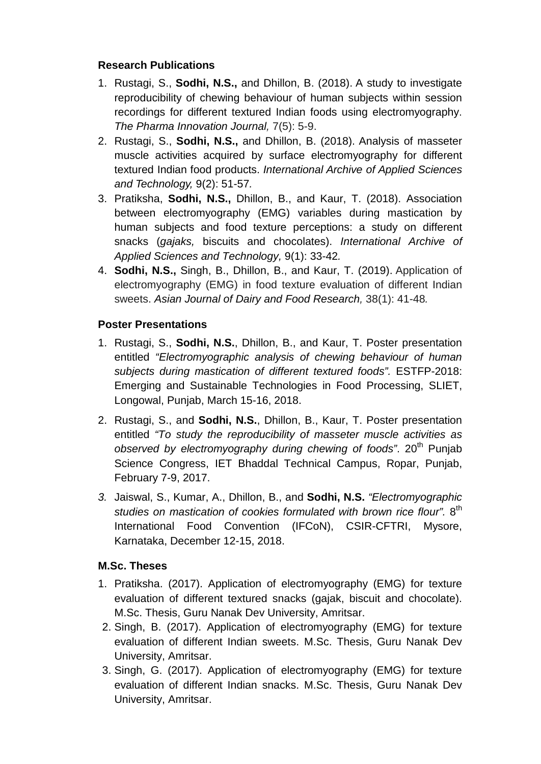## **Research Publications**

- 1. Rustagi, S., **Sodhi, N.S.,** and Dhillon, B. (2018). A study to investigate reproducibility of chewing behaviour of human subjects within session recordings for different textured Indian foods using electromyography. *The Pharma Innovation Journal,* 7(5): 5-9.
- 2. Rustagi, S., **Sodhi, N.S.,** and Dhillon, B. (2018). Analysis of masseter muscle activities acquired by surface electromyography for different textured Indian food products. *International Archive of Applied Sciences and Technology,* 9(2): 51-57*.*
- 3. Pratiksha, **Sodhi, N.S.,** Dhillon, B., and Kaur, T. (2018). Association between electromyography (EMG) variables during mastication by human subjects and food texture perceptions: a study on different snacks (*gajaks,* biscuits and chocolates). *International Archive of Applied Sciences and Technology,* 9(1): 33-42*.*
- 4. **Sodhi, N.S.,** Singh, B., Dhillon, B., and Kaur, T. (2019). Application of electromyography (EMG) in food texture evaluation of different Indian sweets. *Asian Journal of Dairy and Food Research,* 38(1): 41-48*.*

## **Poster Presentations**

- 1. Rustagi, S., **Sodhi, N.S.**, Dhillon, B., and Kaur, T. Poster presentation entitled *"Electromyographic analysis of chewing behaviour of human subjects during mastication of different textured foods".* ESTFP-2018: Emerging and Sustainable Technologies in Food Processing, SLIET, Longowal, Punjab, March 15-16, 2018.
- 2. Rustagi, S., and **Sodhi, N.S.**, Dhillon, B., Kaur, T. Poster presentation entitled *"To study the reproducibility of masseter muscle activities as observed by electromyography during chewing of foods".* 20<sup>th</sup> Punjab Science Congress, IET Bhaddal Technical Campus, Ropar, Punjab, February 7-9, 2017.
- *3.* Jaiswal, S., Kumar, A., Dhillon, B., and **Sodhi, N.S.** *"Electromyographic*  studies on mastication of cookies formulated with brown rice flour". 8<sup>th</sup> International Food Convention (IFCoN), CSIR-CFTRI, Mysore, Karnataka, December 12-15, 2018.

## **M.Sc. Theses**

- 1. Pratiksha. (2017). Application of electromyography (EMG) for texture evaluation of different textured snacks (gajak, biscuit and chocolate). M.Sc. Thesis, Guru Nanak Dev University, Amritsar.
- 2. Singh, B. (2017). Application of electromyography (EMG) for texture evaluation of different Indian sweets. M.Sc. Thesis, Guru Nanak Dev University, Amritsar.
- 3. Singh, G. (2017). Application of electromyography (EMG) for texture evaluation of different Indian snacks. M.Sc. Thesis, Guru Nanak Dev University, Amritsar.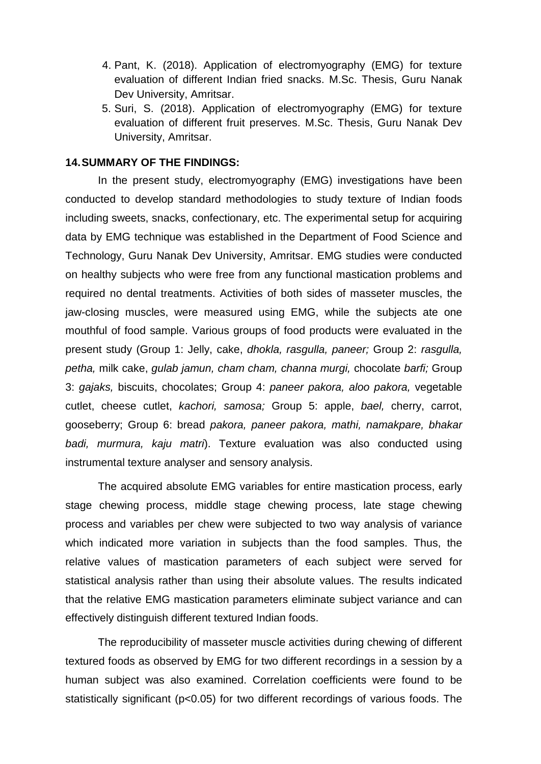- 4. Pant, K. (2018). Application of electromyography (EMG) for texture evaluation of different Indian fried snacks. M.Sc. Thesis, Guru Nanak Dev University, Amritsar.
- 5. Suri, S. (2018). Application of electromyography (EMG) for texture evaluation of different fruit preserves. M.Sc. Thesis, Guru Nanak Dev University, Amritsar.

#### **14.SUMMARY OF THE FINDINGS:**

In the present study, electromyography (EMG) investigations have been conducted to develop standard methodologies to study texture of Indian foods including sweets, snacks, confectionary, etc. The experimental setup for acquiring data by EMG technique was established in the Department of Food Science and Technology, Guru Nanak Dev University, Amritsar. EMG studies were conducted on healthy subjects who were free from any functional mastication problems and required no dental treatments. Activities of both sides of masseter muscles, the jaw-closing muscles, were measured using EMG, while the subjects ate one mouthful of food sample. Various groups of food products were evaluated in the present study (Group 1: Jelly, cake, *dhokla, rasgulla, paneer;* Group 2: *rasgulla, petha,* milk cake, *gulab jamun, cham cham, channa murgi,* chocolate *barfi;* Group 3: *gajaks,* biscuits, chocolates; Group 4: *paneer pakora, aloo pakora,* vegetable cutlet, cheese cutlet, *kachori, samosa;* Group 5: apple, *bael,* cherry, carrot, gooseberry; Group 6: bread *pakora, paneer pakora, mathi, namakpare, bhakar badi, murmura, kaju matri*). Texture evaluation was also conducted using instrumental texture analyser and sensory analysis.

The acquired absolute EMG variables for entire mastication process, early stage chewing process, middle stage chewing process, late stage chewing process and variables per chew were subjected to two way analysis of variance which indicated more variation in subjects than the food samples. Thus, the relative values of mastication parameters of each subject were served for statistical analysis rather than using their absolute values. The results indicated that the relative EMG mastication parameters eliminate subject variance and can effectively distinguish different textured Indian foods.

The reproducibility of masseter muscle activities during chewing of different textured foods as observed by EMG for two different recordings in a session by a human subject was also examined. Correlation coefficients were found to be statistically significant (p<0.05) for two different recordings of various foods. The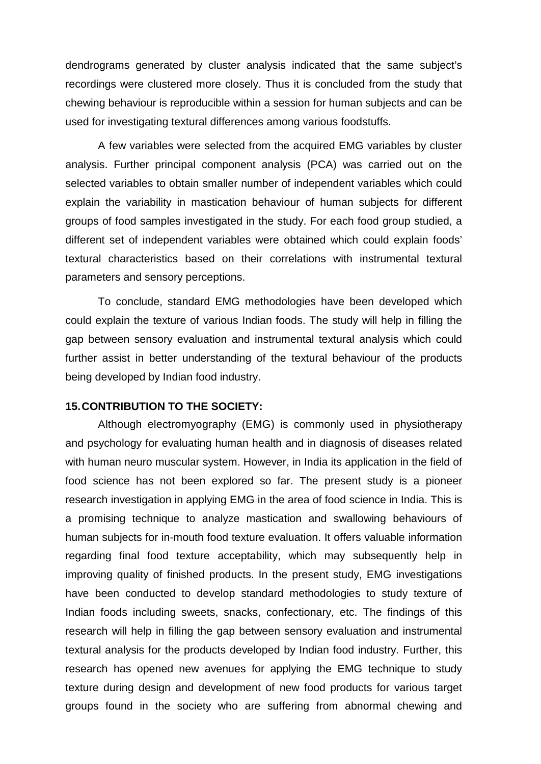dendrograms generated by cluster analysis indicated that the same subject's recordings were clustered more closely. Thus it is concluded from the study that chewing behaviour is reproducible within a session for human subjects and can be used for investigating textural differences among various foodstuffs.

A few variables were selected from the acquired EMG variables by cluster analysis. Further principal component analysis (PCA) was carried out on the selected variables to obtain smaller number of independent variables which could explain the variability in mastication behaviour of human subjects for different groups of food samples investigated in the study. For each food group studied, a different set of independent variables were obtained which could explain foods' textural characteristics based on their correlations with instrumental textural parameters and sensory perceptions.

To conclude, standard EMG methodologies have been developed which could explain the texture of various Indian foods. The study will help in filling the gap between sensory evaluation and instrumental textural analysis which could further assist in better understanding of the textural behaviour of the products being developed by Indian food industry.

#### **15.CONTRIBUTION TO THE SOCIETY:**

Although electromyography (EMG) is commonly used in physiotherapy and psychology for evaluating human health and in diagnosis of diseases related with human neuro muscular system. However, in India its application in the field of food science has not been explored so far. The present study is a pioneer research investigation in applying EMG in the area of food science in India. This is a promising technique to analyze mastication and swallowing behaviours of human subjects for in-mouth food texture evaluation. It offers valuable information regarding final food texture acceptability, which may subsequently help in improving quality of finished products. In the present study, EMG investigations have been conducted to develop standard methodologies to study texture of Indian foods including sweets, snacks, confectionary, etc. The findings of this research will help in filling the gap between sensory evaluation and instrumental textural analysis for the products developed by Indian food industry. Further, this research has opened new avenues for applying the EMG technique to study texture during design and development of new food products for various target groups found in the society who are suffering from abnormal chewing and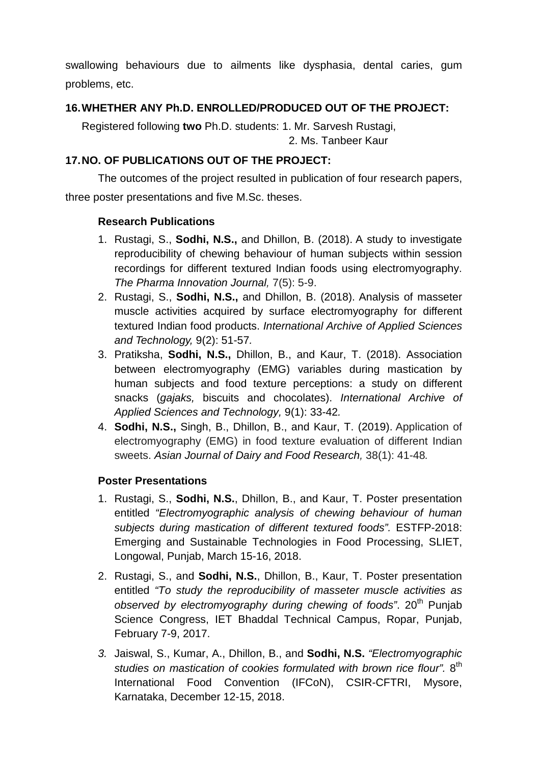swallowing behaviours due to ailments like dysphasia, dental caries, gum problems, etc.

## **16.WHETHER ANY Ph.D. ENROLLED/PRODUCED OUT OF THE PROJECT:**

Registered following **two** Ph.D. students: 1. Mr. Sarvesh Rustagi, 2. Ms. Tanbeer Kaur

# **17.NO. OF PUBLICATIONS OUT OF THE PROJECT:**

The outcomes of the project resulted in publication of four research papers, three poster presentations and five M.Sc. theses.

## **Research Publications**

- 1. Rustagi, S., **Sodhi, N.S.,** and Dhillon, B. (2018). A study to investigate reproducibility of chewing behaviour of human subjects within session recordings for different textured Indian foods using electromyography. *The Pharma Innovation Journal,* 7(5): 5-9.
- 2. Rustagi, S., **Sodhi, N.S.,** and Dhillon, B. (2018). Analysis of masseter muscle activities acquired by surface electromyography for different textured Indian food products. *International Archive of Applied Sciences and Technology,* 9(2): 51-57*.*
- 3. Pratiksha, **Sodhi, N.S.,** Dhillon, B., and Kaur, T. (2018). Association between electromyography (EMG) variables during mastication by human subjects and food texture perceptions: a study on different snacks (*gajaks,* biscuits and chocolates). *International Archive of Applied Sciences and Technology,* 9(1): 33-42*.*
- 4. **Sodhi, N.S.,** Singh, B., Dhillon, B., and Kaur, T. (2019). Application of electromyography (EMG) in food texture evaluation of different Indian sweets. *Asian Journal of Dairy and Food Research,* 38(1): 41-48*.*

## **Poster Presentations**

- 1. Rustagi, S., **Sodhi, N.S.**, Dhillon, B., and Kaur, T. Poster presentation entitled *"Electromyographic analysis of chewing behaviour of human subjects during mastication of different textured foods".* ESTFP-2018: Emerging and Sustainable Technologies in Food Processing, SLIET, Longowal, Punjab, March 15-16, 2018.
- 2. Rustagi, S., and **Sodhi, N.S.**, Dhillon, B., Kaur, T. Poster presentation entitled *"To study the reproducibility of masseter muscle activities as observed by electromyography during chewing of foods".* 20<sup>th</sup> Punjab Science Congress, IET Bhaddal Technical Campus, Ropar, Punjab, February 7-9, 2017.
- *3.* Jaiswal, S., Kumar, A., Dhillon, B., and **Sodhi, N.S.** *"Electromyographic studies on mastication of cookies formulated with brown rice flour".* 8th International Food Convention (IFCoN), CSIR-CFTRI, Mysore, Karnataka, December 12-15, 2018.